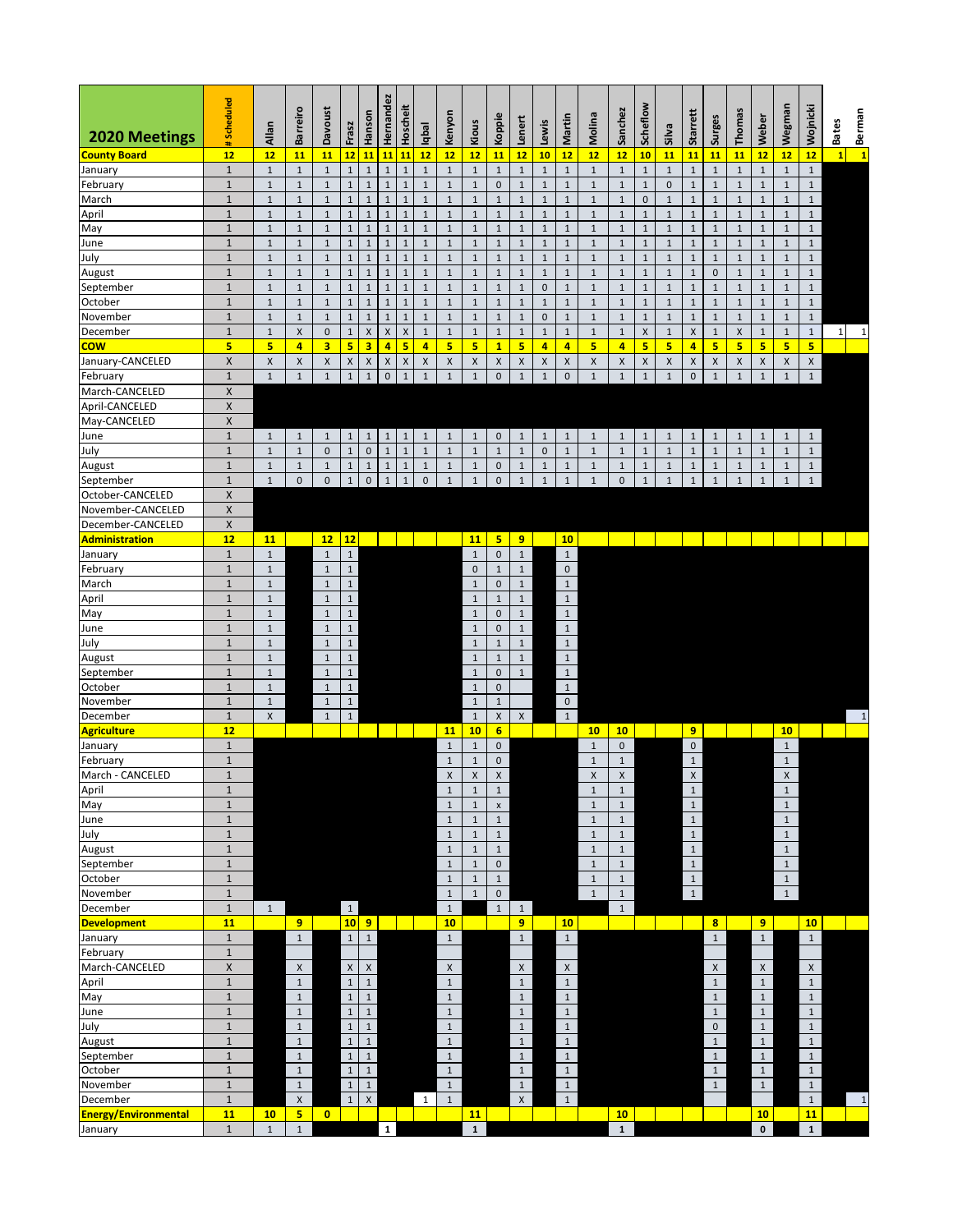| 2020 Meetings               | #Scheduled                 | Allan                      | <b>Barreiro</b>       | Davoust               | Frasz                       | Hanson                      | Hernandez                   | Hoscheit                    | qbal                  | Kenyon                     | Kious                 | Koppie                      | enert                       | .ewis                               | Martin                 | Molina               | Sanchez                   | Scheflow              | <b>Silva</b>     | Starrett       | Surges                      | Thomas                  | Weber                       | Wegman                | Wojnicki                     | Berman<br>1<br><b>Bates</b> |
|-----------------------------|----------------------------|----------------------------|-----------------------|-----------------------|-----------------------------|-----------------------------|-----------------------------|-----------------------------|-----------------------|----------------------------|-----------------------|-----------------------------|-----------------------------|-------------------------------------|------------------------|----------------------|---------------------------|-----------------------|------------------|----------------|-----------------------------|-------------------------|-----------------------------|-----------------------|------------------------------|-----------------------------|
| <b>County Board</b>         | 12                         | 12                         | 11                    | 11                    | 12                          | 11                          | 11                          | 11                          | 12                    | 12                         | 12                    | 11                          | 12                          | 10                                  | 12                     | 12                   | 12                        | 10                    | 11               | 11             | 11                          | 11                      | 12                          | 12                    | 12                           | $\mathbf{1}$                |
| January                     | $\mathbf 1$                | $\mathbf 1$                | $\,1\,$               | $\,1\,$               | $\mathbf{1}$                | $\,1\,$                     | $\mathbf 1$                 | $\mathbf{1}$                | $\mathbf{1}$          | $\,1\,$                    | $\,1\,$               | $\mathbf 1$                 | $\mathbf 1$                 | $\mathbf 1$                         | $\mathbf 1$            | $\mathbf 1$          | $1\,$                     | $\,1\,$               | $\,1\,$          | $\mathbf 1$    | $\mathbf 1$                 | $\mathbf 1$             | $\mathbf 1$                 | $\mathbf 1$           | $\mathbf{1}$                 |                             |
| February                    | $\mathbf 1$                | $\mathbf 1$                | $1\,$                 | $\mathbf 1$           | $\mathbf{1}$                | $\mathbf 1$                 | $\mathbf{1}$                | $\mathbf 1$                 | $\mathbf 1$           | $\mathbf 1$                | $\,1\,$               | $\pmb{0}$                   | $\mathbf 1$                 | $\,1\,$                             | $\,1\,$                | $1\,$                | $\,1\,$                   | $\,1\,$               | $\mathbf 0$      | $\,1\,$        | $\,1\,$                     | $\mathbf 1$             | $\mathbf{1}$                | $\mathbf 1$           | $\mathbf{1}$                 |                             |
| March                       | $\mathbf 1$                | $\,1\,$                    | $1\,$                 | $1\,$                 | $\mathbf{1}$                | $1\,$                       | $\mathbf{1}$                | $\mathbf 1$                 | $\mathbf{1}$          | $\,1\,$                    | $\,1\,$               | $\mathbf 1$                 | $1\,$                       | $\mathbf{1}$                        | $\mathbf 1$            | $1\,$                | $\,1\,$                   | $\pmb{0}$             | $1\,$            | $1\,$          | $1\,$                       | $\,1\,$                 | $\mathbf 1$                 | $\mathbf 1$           | $\mathbf{1}$                 |                             |
| April                       | $\mathbf 1$                | $\mathbf 1$                | $\,1\,$               | $\mathbf{1}$          | $\mathbf 1$                 | $\,1\,$                     | $\mathbf 1$                 | $\mathbf 1$                 | $\mathbf 1$           | $\mathbf 1$                | $\mathbf{1}$          | $\mathbf 1$                 | $\mathbf 1$                 | $\mathbf 1$                         | $\,1\,$                | $\mathbf 1$          | $\mathbf{1}$              | $1\,$                 | $\,1\,$          | $1\,$          | $\,1\,$                     | $\mathbf{1}$            | $1\,$                       | $\mathbf 1$           | $\mathbf{1}$                 |                             |
| May                         | $\mathbf 1$                | $\mathbf 1$                | $\mathbf 1$           | $\mathbf 1$           | $\mathbf 1$                 | $1\,$                       | $\mathbf{1}$                | $1\,$                       | $\mathbf{1}$          | $1\,$                      | $\mathbf 1$           | $\mathbf{1}$                | $\,1\,$                     | $\mathbf{1}$                        | $\mathbf 1$            | $\mathbf{1}$         | $1\,$                     | $\,1\,$               | $\,1\,$          | $1\,$          | $\mathbf 1$                 | $\mathbf 1$             | $\mathbf{1}$                | $\mathbf 1$           | $\mathbf{1}$                 |                             |
| June                        | $\mathbf 1$                | $\mathbf{1}$               | $\mathbf 1$           | $\,1\,$               | $\mathbf{1}$                | $1\,$                       | $\mathbf{1}$                | $\mathbf{1}$                | $\mathbf{1}$          | $\,1\,$                    | $\,1\,$               | $\mathbf{1}$                | $\mathbf{1}$                | $\mathbf 1$                         | $\mathbf 1$            | $\mathbf 1$          | $\mathbf{1}$              | $1\,$                 | $\mathbf{1}$     | $1\,$          | $1\,$                       | $\,1\,$                 | $1\,$                       | $\mathbf 1$           | $\mathbf{1}$                 |                             |
| July                        | $\mathbf{1}$               | $\mathbf{1}$               | $\mathbf 1$           | $\mathbf{1}$          | $\mathbf 1$                 | $\,1\,$                     | $1\,$                       | $\mathbf 1$                 | $\mathbf{1}$          | $\mathbf 1$                | $\mathbf{1}$          | $\mathbf 1$                 | $\mathbf{1}$                | $\mathbf{1}$                        | $\,1\,$                | $\,1\,$              | $1\,$                     | $\,1\,$               | $1\,$            | $1\,$          | $\,1\,$                     | $\mathbf{1}$            | $\mathbf 1$                 | $\mathbf{1}$          | $\mathbf{1}$                 |                             |
| August                      | $\mathbf 1$                | $1\,$                      | $\,1\,$               | $1\,$                 | $\mathbf{1}$                | $\,1\,$                     | $\mathbf 1$                 | $\mathbf{1}$                | $\mathbf 1$           | $\mathbf 1$                | $1\,$                 | $\mathbf 1$                 | $\,1\,$                     | $\mathbf 1$                         | $1\,$                  | $\mathbf 1$          | $1\,$                     | $\,1\,$               | $\,1\,$          | $1\,$          | $\pmb{0}$                   | $\,1\,$                 | $1\,$                       | $\mathbf 1$           | $\mathbf{1}$                 |                             |
| September                   | $\mathbf 1$                | $\mathbf 1$                | $\,1\,$               | $\,1\,$               | $\mathbf{1}$                | $\,1\,$                     | $\mathbf{1}$                | $\mathbf 1$                 | $\mathbf{1}$          | $\mathbf 1$                | $\,1\,$               | $\mathbf 1$                 | $\,1\,$                     | $\mathsf{O}\xspace$                 | $1\,$                  | $\mathbf 1$          | $\,1\,$                   | $1\,$                 | $\,1\,$          | $1\,$          | $\,1\,$                     | $\,1\,$                 | $1\,$                       | $\mathbf{1}$          | $\mathbf{1}$                 |                             |
| October                     | $\mathbf 1$<br>$\mathbf 1$ | $\,1\,$<br>$1\,$           | $\,1\,$<br>$1\,$      | $\,1\,$<br>$\,1\,$    | $\mathbf{1}$<br>$\mathbf 1$ | $\,1\,$<br>$1\,$            | $\mathbf 1$<br>$\mathbf{1}$ | $\mathbf 1$<br>$\mathbf{1}$ | $1\,$<br>$\mathbf{1}$ | $\mathbf 1$<br>$\mathbf 1$ | $\,1\,$<br>$1\,$      | $\mathbf 1$<br>$\mathbf{1}$ | $\mathbf 1$<br>$1\,$        | $\mathbf{1}$<br>$\mathsf{O}\xspace$ | $\,1\,$<br>$\,1\,$     | $\mathbf 1$<br>$1\,$ | $1\,$<br>$\mathbf{1}$     | $1\,$<br>$\mathbf{1}$ | $\,1\,$<br>$1\,$ | $1\,$<br>$1\,$ | $\,1\,$<br>$1\,$            | $\,1\,$<br>$\mathbf{1}$ | $\mathbf 1$<br>$\mathbf{1}$ | $1\,$<br>$\mathbf{1}$ | $\mathbf{1}$<br>$\mathbf{1}$ |                             |
| November<br>December        | $\mathbf 1$                | $1\,$                      | $\mathsf X$           | $\mathsf{O}\xspace$   | $\mathbf 1$                 | $\mathsf X$                 | $\mathsf X$                 | $\pmb{\mathsf{X}}$          | $1\,$                 | $\mathbf 1$                | $\mathbf{1}$          | $\,1\,$                     | $\,1\,$                     | $\mathbf 1$                         | $\mathbf 1$            | $\mathbf 1$          | $\,1\,$                   | $\mathsf X$           | $\mathbf{1}$     | $\mathsf X$    | $\,1\,$                     | $\mathsf X$             | $1\,$                       | $\mathbf 1$           | $\mathbf{1}$                 | $1\vert$<br>$\,1\,$         |
| cow                         | $\overline{\mathbf{5}}$    | $\overline{\mathbf{5}}$    | $\overline{4}$        | 3                     | 5                           | 3                           | 4                           | 5                           | $\overline{a}$        | 5                          | 5                     | $\mathbf{1}$                | 5                           | $\overline{4}$                      | 4                      | 5                    | $\overline{4}$            | 5                     | 5                | 4              | $5\overline{ }$             | 5                       | 5                           | 5                     | 5.                           |                             |
| January-CANCELED            | $\pmb{\mathsf{X}}$         | $\pmb{\times}$             | $\pmb{\times}$        | $\pmb{\times}$        | X                           | $\mathsf X$                 | $\pmb{\mathsf{X}}$          | $\pmb{\mathsf{X}}$          | X                     | $\pmb{\mathsf{X}}$         | X                     | X                           | $\pmb{\mathsf{X}}$          | $\mathsf X$                         | $\pmb{\times}$         | $\pmb{\mathsf{X}}$   | $\pmb{\times}$            | $\mathsf X$           | $\mathsf X$      | $\mathsf X$    | $\pmb{\mathsf{X}}$          | X                       | $\mathsf X$                 | X                     | X                            |                             |
| February                    | $\mathbf 1$                | $\mathbf{1}$               | $1\,$                 | $\mathbf 1$           | $\mathbf{1}$                | $\mathbf 1$                 | $\pmb{0}$                   | $\mathbf 1$                 | $1\,$                 | $\mathbf 1$                | $\mathbf 1$           | $\mathbf 0$                 | $1\,$                       | $1\,$                               | $\bf 0$                | $\mathbf 1$          | $\mathbf 1$               | $\,1\,$               | $\,1\,$          | 0              | $\,1\,$                     | $\mathbf 1$             | $\mathbf{1}$                | $\mathbf{1}$          | $\mathbf{1}$                 |                             |
| March-CANCELED              | $\pmb{\mathsf{X}}$         |                            |                       |                       |                             |                             |                             |                             |                       |                            |                       |                             |                             |                                     |                        |                      |                           |                       |                  |                |                             |                         |                             |                       |                              |                             |
| April-CANCELED              | $\pmb{\mathsf{X}}$         |                            |                       |                       |                             |                             |                             |                             |                       |                            |                       |                             |                             |                                     |                        |                      |                           |                       |                  |                |                             |                         |                             |                       |                              |                             |
| May-CANCELED                | X                          |                            |                       |                       |                             |                             |                             |                             |                       |                            |                       |                             |                             |                                     |                        |                      |                           |                       |                  |                |                             |                         |                             |                       |                              |                             |
| June                        | $\mathbf 1$                | $\mathbf{1}$               | $\mathbf{1}$          | $\mathbf{1}$          | $\mathbf{1}$                | $\mathbf{1}$                | $\mathbf{1}$                | $\mathbf{1}$                | $\mathbf{1}$          | $\mathbf{1}$               | $\mathbf{1}$          | $\mathbf 0$                 | $\mathbf{1}$                | $\mathbf{1}$                        | $\mathbf{1}$           | $\mathbf{1}$         | $\mathbf{1}$              | $\mathbf{1}$          | $\mathbf{1}$     | $\mathbf{1}$   | $\mathbf{1}$                | $\mathbf{1}$            | $\mathbf{1}$                | $\mathbf{1}$          | $\mathbf{1}$                 |                             |
| July                        | $\mathbf 1$                | $1\,$                      | $\,1\,$               | $\mathbf 0$           | $\mathbf{1}$                | $\pmb{0}$                   | $\mathbf{1}$                | $\mathbf 1$                 | $\mathbf 1$           | $\mathbf 1$                | $\,1\,$               | $\mathbf 1$                 | $1\,$                       | $\mathbf 0$                         | $\,1\,$                | $1\,$                | $1\,$                     | $\,1\,$               | $1\,$            | $1\,$          | $\,1\,$                     | $\,1\,$                 | $\mathbf{1}$                | $\mathbf 1$           | $\mathbf{1}$                 |                             |
| August                      | $\mathbf 1$                | $\,1\,$                    | $\mathbf{1}$          | $\mathbf{1}$          | $\mathbf 1$                 | $\mathbf 1$                 | $\mathbf{1}$                | $\mathbf 1$                 | $1\,$                 | $\mathbf 1$                | $\mathbf{1}$          | $\pmb{0}$                   | $\,1\,$                     | $\mathbf{1}$                        | $\,1\,$                | $\mathbf 1$          | $\mathbf{1}$              | $\mathbf{1}$          | $1\,$            | $1\,$          | $\,1\,$                     | $\mathbf{1}$            | $\mathbf 1$                 | $\mathbf{1}$          | $\mathbf{1}$                 |                             |
| September                   | $\mathbf 1$                | $\mathbf 1$                | $\mathbf 0$           | $\mathbf{0}$          | $\mathbf 1$                 | $\pmb{0}$                   | $\mathbf{1}$                | $1\,$                       | $\pmb{0}$             | $\mathbf 1$                | $\mathbf{1}$          | $\pmb{0}$                   | $\,1\,$                     | $1\,$                               | $1\,$                  | $\mathbf 1$          | $\mathbf{0}$              | $1\,$                 | $1\,$            | $1\,$          | $\mathbf 1$                 | $\mathbf 1$             | $\mathbf{1}$                | $\mathbf 1$           | $\mathbf{1}$                 |                             |
| October-CANCELED            | $\pmb{\mathsf{X}}$         |                            |                       |                       |                             |                             |                             |                             |                       |                            |                       |                             |                             |                                     |                        |                      |                           |                       |                  |                |                             |                         |                             |                       |                              |                             |
| November-CANCELED           | Χ                          |                            |                       |                       |                             |                             |                             |                             |                       |                            |                       |                             |                             |                                     |                        |                      |                           |                       |                  |                |                             |                         |                             |                       |                              |                             |
| December-CANCELED           | $\pmb{\times}$             |                            |                       |                       |                             |                             |                             |                             |                       |                            |                       |                             |                             |                                     |                        |                      |                           |                       |                  |                |                             |                         |                             |                       |                              |                             |
| <b>Administration</b>       | 12                         | 11                         |                       | 12                    | 12                          |                             |                             |                             |                       |                            | 11                    | 5                           | 9                           |                                     | 10                     |                      |                           |                       |                  |                |                             |                         |                             |                       |                              |                             |
| January                     | $\mathbf 1$                | $\,1\,$                    |                       | $\mathbf{1}$          | $\mathbf 1$                 |                             |                             |                             |                       |                            | $\mathbf{1}$          | $\mathbf 0$                 | $\mathbf 1$                 |                                     | $\,1\,$                |                      |                           |                       |                  |                |                             |                         |                             |                       |                              |                             |
| February                    | $\mathbf 1$                | $\mathbf 1$                |                       | $\mathbf{1}$          | $\mathbf 1$                 |                             |                             |                             |                       |                            | $\mathsf{O}\xspace$   | $\mathbf{1}$                | $1\,$                       |                                     | $\mathsf{O}\xspace$    |                      |                           |                       |                  |                |                             |                         |                             |                       |                              |                             |
| March                       | $1\,$                      | $\mathbf 1$                |                       | $\mathbf{1}$          | $\mathbf 1$                 |                             |                             |                             |                       |                            | $1\,$                 | $\pmb{0}$                   | $\mathbf 1$                 |                                     | $\,1\,$                |                      |                           |                       |                  |                |                             |                         |                             |                       |                              |                             |
| April                       | $1\,$                      | $\,1\,$                    |                       | $\mathbf{1}$          | $\mathbf 1$                 |                             |                             |                             |                       |                            | $\mathbf{1}$          | $\mathbf{1}$                | $\mathbf 1$                 |                                     | $1\,$                  |                      |                           |                       |                  |                |                             |                         |                             |                       |                              |                             |
| May                         | $\mathbf 1$                | $\mathbf 1$                |                       | $1\,$                 | $\mathbf 1$                 |                             |                             |                             |                       |                            | $1\,$                 | $\pmb{0}$                   | $\mathbf 1$                 |                                     | $\mathbf 1$            |                      |                           |                       |                  |                |                             |                         |                             |                       |                              |                             |
| June                        | $\mathbf 1$                | $\mathbf 1$                |                       | $\mathbf 1$           | $\mathbf 1$                 |                             |                             |                             |                       |                            | $\mathbf{1}$          | $\pmb{0}$                   | $\mathbf 1$                 |                                     | $\mathbf 1$            |                      |                           |                       |                  |                |                             |                         |                             |                       |                              |                             |
| July                        | $\mathbf 1$                | $\mathbf 1$                |                       | $\mathbf{1}$          | $\mathbf 1$                 |                             |                             |                             |                       |                            | $\mathbf{1}$          | $1\,$                       | $\mathbf 1$                 |                                     | $\mathbf 1$            |                      |                           |                       |                  |                |                             |                         |                             |                       |                              |                             |
| August                      | $\mathbf 1$<br>$\mathbf 1$ | $\mathbf 1$<br>$\mathbf 1$ |                       | $1\,$<br>$\mathbf{1}$ | $\mathbf 1$<br>$\mathbf 1$  |                             |                             |                             |                       |                            | $1\,$<br>$\mathbf{1}$ | $\mathbf{1}$<br>$\pmb{0}$   | $\mathbf 1$<br>$\mathbf{1}$ |                                     | $\,1\,$<br>$1\,$       |                      |                           |                       |                  |                |                             |                         |                             |                       |                              |                             |
| September<br>October        | $\mathbf 1$                | $\mathbf{1}$               |                       | $\mathbf{1}$          | $\mathbf 1$                 |                             |                             |                             |                       |                            | $\mathbf{1}$          | $\pmb{0}$                   |                             |                                     | $1\,$                  |                      |                           |                       |                  |                |                             |                         |                             |                       |                              |                             |
| November                    | $\mathbf 1$                | $\mathbf 1$                |                       | $\mathbf 1$           | $\mathbf 1$                 |                             |                             |                             |                       |                            | $\mathbf{1}$          | $\mathbf 1$                 |                             |                                     | $\pmb{0}$              |                      |                           |                       |                  |                |                             |                         |                             |                       |                              |                             |
| December                    | $\mathbf 1$                | $\pmb{\mathsf{X}}$         |                       | $\mathbf 1$           | $\mathbf 1$                 |                             |                             |                             |                       |                            | $1\,$                 | X                           | Χ                           |                                     | $\,1\,$                |                      |                           |                       |                  |                |                             |                         |                             |                       |                              | $\,1\,$                     |
| <b>Agriculture</b>          | 12                         |                            |                       |                       |                             |                             |                             |                             |                       | 11                         | 10                    | $6\phantom{1}$              |                             |                                     |                        | 10                   | 10                        |                       |                  | 9              |                             |                         |                             | 10                    |                              |                             |
| January                     | $\mathbf 1$                |                            |                       |                       |                             |                             |                             |                             |                       | $\,1\,$                    | $1\,$                 | $\pmb{0}$                   |                             |                                     |                        | $1\,$                | $\mathbf 0$               |                       |                  | $\pmb{0}$      |                             |                         |                             | $1\,$                 |                              |                             |
| February                    | $\mathbf 1$                |                            |                       |                       |                             |                             |                             |                             |                       | $1\,$                      | $\mathbf{1}$          | $\pmb{0}$                   |                             |                                     |                        | $\mathbf{1}$         | $\mathbf{1}$              |                       |                  | $\mathbf{1}$   |                             |                         |                             | $\mathbf{1}$          |                              |                             |
| March - CANCELED            | $\mathbf{1}$               |                            |                       |                       |                             |                             |                             |                             |                       | $\pmb{\times}$             | $\pmb{\mathsf{X}}$    | X                           |                             |                                     |                        | X                    | $\boldsymbol{\mathsf{x}}$ |                       |                  | $\mathsf X$    |                             |                         |                             | X                     |                              |                             |
| April                       | $\mathbf{1}$               |                            |                       |                       |                             |                             |                             |                             |                       | $\mathbf{1}$               | $1\,$                 | $\mathbf 1$                 |                             |                                     |                        | $\mathbf 1$          | $\mathbf{1}$              |                       |                  | $\mathbf{1}$   |                             |                         |                             | $\mathbf{1}$          |                              |                             |
| May                         | $\mathbf 1$                |                            |                       |                       |                             |                             |                             |                             |                       | $\,1\,$                    | $\mathbf 1$           | $\pmb{\mathsf{x}}$          |                             |                                     |                        | $\mathbf 1$          | $\mathbf{1}$              |                       |                  | $\overline{1}$ |                             |                         |                             | $\mathbf{1}$          |                              |                             |
| June                        | $\mathbf 1$                |                            |                       |                       |                             |                             |                             |                             |                       | $\mathbf{1}$               | $1\,$                 | $\mathbf{1}$                |                             |                                     |                        | $\,1\,$              | $\mathbf{1}$              |                       |                  | $1\,$          |                             |                         |                             | $\mathbf{1}$          |                              |                             |
| July                        | $\mathbf 1$                |                            |                       |                       |                             |                             |                             |                             |                       | $\mathbf{1}$               | $\mathbf{1}$          | $1\,$                       |                             |                                     |                        | $1\,$                | $\mathbf{1}$              |                       |                  | $\mathbf 1$    |                             |                         |                             | $\mathbf{1}$          |                              |                             |
| August                      | $\mathbf 1$                |                            |                       |                       |                             |                             |                             |                             |                       | $1\,$                      | $\mathbf{1}$          | $1\,$                       |                             |                                     |                        | $\mathbf{1}$         | $\mathbf{1}$              |                       |                  | $\mathbf{1}$   |                             |                         |                             | $\mathbf{1}$          |                              |                             |
| September                   | $\mathbf 1$                |                            |                       |                       |                             |                             |                             |                             |                       | $\mathbf 1$                | $1\,$                 | $\mathsf{O}\xspace$         |                             |                                     |                        | $\mathbf 1$          | $\mathbf{1}$              |                       |                  | $1\,$          |                             |                         |                             | $\mathbf{1}$          |                              |                             |
| October                     | $\mathbf{1}$               |                            |                       |                       |                             |                             |                             |                             |                       | $\mathbf{1}$               | $\mathbf{1}$          | $\mathbf 1$                 |                             |                                     |                        | $\mathbf 1$          | $\mathbf{1}$              |                       |                  | $\mathbf{1}$   |                             |                         |                             | $\mathbf{1}$          |                              |                             |
| November                    | $\mathbf 1$                |                            |                       |                       |                             |                             |                             |                             |                       | $\mathbf 1$                | $\mathbf{1}$          | $\pmb{0}$                   |                             |                                     |                        | $\mathbf 1$          | $\mathbf{1}$              |                       |                  | $\mathbf{1}$   |                             |                         |                             | $\mathbf{1}$          |                              |                             |
| December                    | $\mathbf 1$                | $1\,$                      |                       |                       | $1\,$                       |                             |                             |                             |                       | $\mathbf 1$                |                       | $\mathbf{1}$                | $\mathbf{1}$                |                                     |                        |                      | $\mathbf 1$               |                       |                  |                |                             |                         |                             |                       |                              |                             |
| <b>Development</b>          | 11                         |                            | 9 <sup>°</sup>        |                       | 10                          | 9                           |                             |                             |                       | 10                         |                       |                             | 9                           |                                     | 10                     |                      |                           |                       |                  |                | 8 <sub>1</sub>              |                         | 9                           |                       | 10                           |                             |
| January                     | $\mathbf 1$                |                            | $\mathbf{1}$          |                       | $\mathbf 1$                 | $\mathbf{1}$                |                             |                             |                       | $\mathbf 1$                |                       |                             | $\mathbf{1}$                |                                     | $\mathbf{1}$           |                      |                           |                       |                  |                | $\mathbf{1}$                |                         | $\mathbf{1}$                |                       | $\mathbf{1}$                 |                             |
| February                    | $\mathbf 1$                |                            |                       |                       |                             |                             |                             |                             |                       |                            |                       |                             |                             |                                     |                        |                      |                           |                       |                  |                |                             |                         |                             |                       |                              |                             |
| March-CANCELED              | X                          |                            | X                     |                       | $\mathsf X$                 | $\pmb{\mathsf{X}}$          |                             |                             |                       | X                          |                       |                             | X                           |                                     | $\mathsf X$            |                      |                           |                       |                  |                | X                           |                         | $\mathsf X$                 |                       | X                            |                             |
| April                       | $\mathbf 1$                |                            | $\,1\,$               |                       | $\mathbf 1$                 | $\mathbf{1}$                |                             |                             |                       | $\mathbf 1$                |                       |                             | $\mathbf 1$                 |                                     | $\,1\,$                |                      |                           |                       |                  |                | $\mathbf 1$                 |                         | $\mathbf 1$                 |                       | $\mathbf{1}$                 |                             |
| May                         | $\mathbf 1$                |                            | $\mathbf 1$           |                       | $\mathbf 1$                 | $\mathbf{1}$                |                             |                             |                       | $1\,$                      |                       |                             | $\mathbf{1}$                |                                     | $\mathbf 1$            |                      |                           |                       |                  |                | $\mathbf 1$                 |                         | $\mathbf 1$                 |                       | $\mathbf{1}$                 |                             |
| June                        | $\mathbf 1$                |                            | $1\,$                 |                       | $\mathbf 1$                 | $\mathbf{1}$                |                             |                             |                       | $\mathbf 1$                |                       |                             | $\mathbf 1$                 |                                     | $\mathbf 1$            |                      |                           |                       |                  |                | $\mathbf 1$                 |                         | $\,1\,$                     |                       | $\mathbf{1}$                 |                             |
| July<br>August              | $\mathbf 1$<br>$\mathbf 1$ |                            | $\mathbf{1}$<br>$1\,$ |                       | $\mathbf 1$<br>$\mathbf 1$  | $\,$ 1 $\,$                 |                             |                             |                       | $\mathbf{1}$<br>$\,1\,$    |                       |                             | $\mathbf 1$<br>$\,1\,$      |                                     | $\mathbf 1$<br>$\,1\,$ |                      |                           |                       |                  |                | $\pmb{0}$                   |                         | $1\,$                       |                       | $\mathbf{1}$                 |                             |
| September                   | $\mathbf 1$                |                            | $\mathbf 1$           |                       | $\mathbf 1$                 | $\mathbf 1$<br>$\mathbf{1}$ |                             |                             |                       | $\mathbf{1}$               |                       |                             | $\mathbf{1}$                |                                     | $\mathbf{1}$           |                      |                           |                       |                  |                | $\mathbf 1$<br>$\mathbf{1}$ |                         | $\,1\,$<br>$\mathbf{1}$     |                       | $\mathbf{1}$<br>$\mathbf{1}$ |                             |
| October                     | $\mathbf 1$                |                            | $1\,$                 |                       | $\mathbf 1$                 | $\mathbf{1}$                |                             |                             |                       | $\mathbf 1$                |                       |                             | $\,1\,$                     |                                     | $\mathbf 1$            |                      |                           |                       |                  |                | $\mathbf 1$                 |                         | $\,1\,$                     |                       | $\mathbf{1}$                 |                             |
| November                    | $\mathbf 1$                |                            | $\mathbf 1$           |                       | $\mathbf{1}$                | $\mathbf{1}$                |                             |                             |                       | $\mathbf 1$                |                       |                             | $\mathbf{1}$                |                                     | $\mathbf{1}$           |                      |                           |                       |                  |                | $\mathbf{1}$                |                         | $\mathbf{1}$                |                       | $\mathbf{1}$                 |                             |
| December                    | $\mathbf 1$                |                            | $\pmb{\times}$        |                       | $\mathbf 1$                 | $\mathsf X$                 |                             |                             | $\mathbf{1}$          | $1\,$                      |                       |                             | $\mathsf X$                 |                                     | $\mathbf{1}$           |                      |                           |                       |                  |                |                             |                         |                             |                       | $\mathbf{1}$                 | $\mathbf 1$                 |
| <b>Energy/Environmental</b> | 11                         | 10                         | 5                     | $\overline{0}$        |                             |                             |                             |                             |                       |                            | 11                    |                             |                             |                                     |                        |                      | 10                        |                       |                  |                |                             |                         | 10                          |                       | 11                           |                             |
| January                     | $\mathbf{1}$               | $\mathbf{1}$               | $\mathbf{1}$          |                       |                             |                             | $\mathbf{1}$                |                             |                       |                            | $\mathbf 1$           |                             |                             |                                     |                        |                      | $\mathbf 1$               |                       |                  |                |                             |                         | $\mathbf 0$                 |                       | $\mathbf{1}$                 |                             |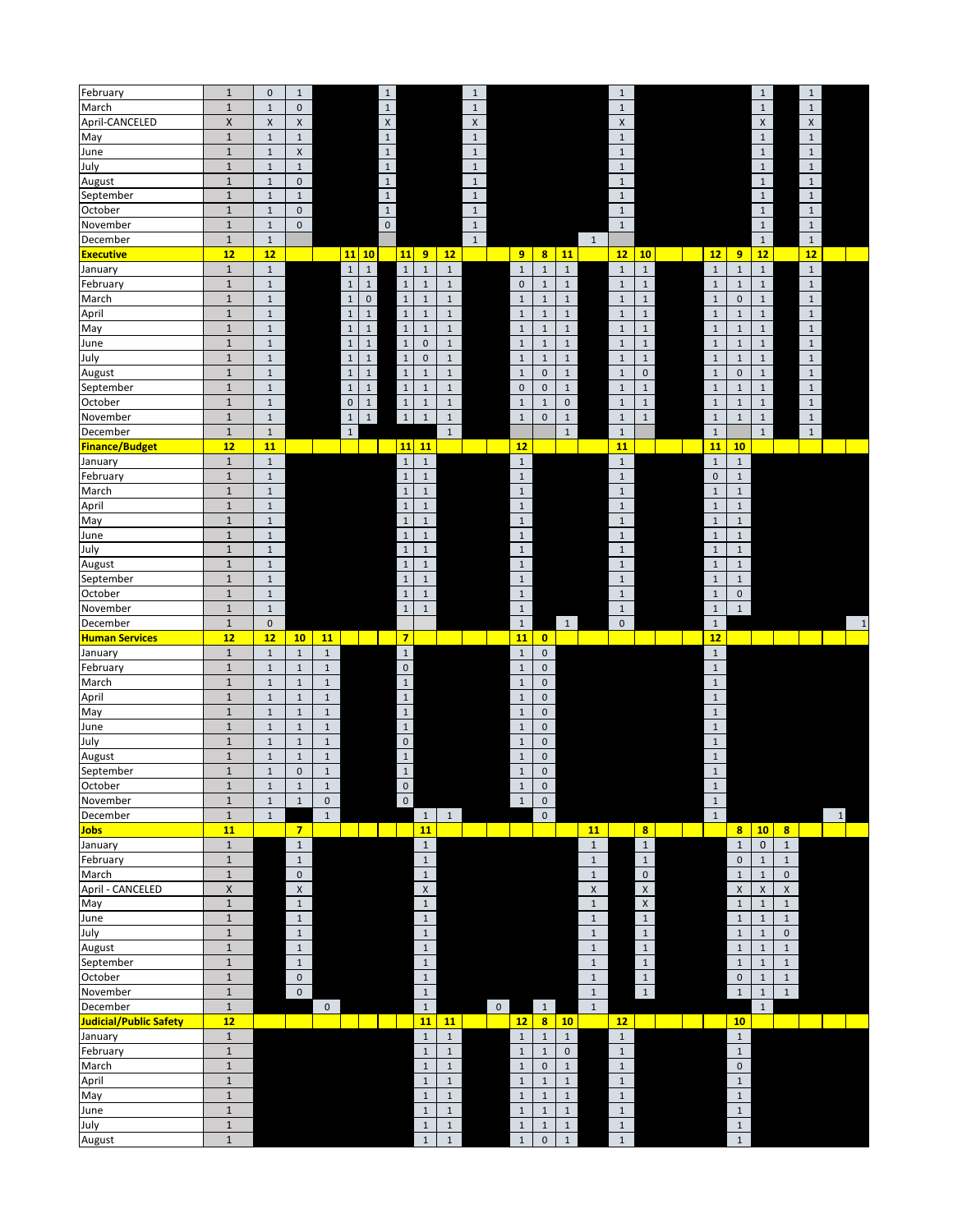| February                      | $\mathbf{1}$   | $\mathsf 0$  | $1\,$               |              |                                    | $\,1\,$                 |                              | $\mathbf 1$  |                       |                                                    |              | $\,1\,$                    |                         |                             |                                     | $\,1\,$            |                         | $\mathbf{1}$ |                 |
|-------------------------------|----------------|--------------|---------------------|--------------|------------------------------------|-------------------------|------------------------------|--------------|-----------------------|----------------------------------------------------|--------------|----------------------------|-------------------------|-----------------------------|-------------------------------------|--------------------|-------------------------|--------------|-----------------|
| March                         | $\mathbf 1$    | $\mathbf 1$  | $\mathsf{O}\xspace$ |              |                                    | $\mathbf 1$             |                              | $\mathbf 1$  |                       |                                                    |              | $1\,$                      |                         |                             |                                     | $\mathbf{1}$       |                         | $\mathbf{1}$ |                 |
| April-CANCELED                | $\pmb{\times}$ | $\mathsf X$  | $\mathsf X$         |              |                                    | $\mathsf X$             |                              | $\mathsf X$  |                       |                                                    |              | $\pmb{\mathsf{X}}$         |                         |                             |                                     | $\mathsf X$        |                         | X            |                 |
| May                           | $\mathbf{1}$   | $\,1\,$      | $\mathbf{1}$        |              |                                    | $\mathbf{1}$            |                              | $\mathbf{1}$ |                       |                                                    |              | $1\,$                      |                         |                             |                                     | $\mathbf{1}$       |                         | $\mathbf{1}$ |                 |
| June                          | $\mathbf 1$    | $\mathbf{1}$ | $\pmb{\times}$      |              |                                    | $\mathbf 1$             |                              | $\mathbf{1}$ |                       |                                                    |              | $\,1\,$                    |                         |                             |                                     | $\mathbf 1$        |                         | $\mathbf{1}$ |                 |
| July                          | $\mathbf 1$    | $\mathbf{1}$ | $\mathbf{1}$        |              |                                    | $\mathbf 1$             |                              | $\mathbf 1$  |                       |                                                    |              | $\,1\,$                    |                         |                             |                                     | $\mathbf 1$        |                         | $\mathbf 1$  |                 |
| August                        | $\mathbf 1$    | $\mathbf 1$  | $\mathbf 0$         |              |                                    | $\mathbf 1$             |                              | $\mathbf{1}$ |                       |                                                    |              | $\,1\,$                    |                         |                             |                                     | $\mathbf 1$        |                         | $\mathbf{1}$ |                 |
| September                     | $\mathbf 1$    | $\mathbf{1}$ | $\mathbf{1}$        |              |                                    | $\,$ 1 $\,$             |                              | $\mathbf 1$  |                       |                                                    |              | $1\,$                      |                         |                             |                                     | $1\,$              |                         | $\mathbf{1}$ |                 |
| October                       | $\mathbf{1}$   | $\mathbf 1$  | $\mathsf{O}\xspace$ |              |                                    | $\mathbf 1$             |                              | $\mathbf{1}$ |                       |                                                    |              | $\,1\,$                    |                         |                             |                                     | $\mathbf{1}$       |                         | $\mathbf{1}$ |                 |
|                               |                |              |                     |              |                                    |                         |                              |              |                       |                                                    |              |                            |                         |                             |                                     |                    |                         |              |                 |
| November                      | $\mathbf{1}$   | $\mathbf 1$  | $\mathbf 0$         |              |                                    | $\mathbf 0$             |                              | $1\,$        |                       |                                                    |              | $1\,$                      |                         |                             |                                     | $\mathbf{1}$       |                         | $\mathbf{1}$ |                 |
| December                      | $\mathbf 1$    | $\mathbf 1$  |                     |              |                                    |                         |                              | $1\,$        |                       |                                                    | $\mathbf{1}$ |                            |                         |                             |                                     | $\mathbf{1}$       |                         | $\mathbf{1}$ |                 |
| <b>Executive</b>              | 12             | 12           |                     |              | $11$ 10                            | 11                      | 9<br>12                      |              | 9                     | $\boldsymbol{8}$<br>11                             |              | 12                         | 10                      | 12                          | 9                                   | 12                 |                         | 12           |                 |
| January                       | $\mathbf 1$    | $\mathbf 1$  |                     |              | $\mathbf 1$<br>$\mathbf 1$         | $\,1\,$                 | $\mathbf 1$<br>$\mathbf 1$   |              | $\mathbf{1}$          | $\,1\,$<br>$\mathbf 1$                             |              | $1\,$                      | $\,1\,$                 | $1\,$                       | $1\,$                               | $\mathbf 1$        |                         | $\mathbf{1}$ |                 |
| February                      | $\mathbf 1$    | $\mathbf 1$  |                     |              | $\mathbf{1}$<br>$\mathbf{1}$       | $\mathbf 1$             | $\mathbf 1$<br>$\mathbf 1$   |              | $\mathsf{O}\xspace$   | $\mathbf{1}$<br>$\mathbf{1}$                       |              | $\mathbf 1$                | $1\,$                   | $\mathbf{1}$                | $1\,$                               | $\mathbf 1$        |                         | $\mathbf{1}$ |                 |
| March                         | $\mathbf 1$    | $\mathbf 1$  |                     |              | $\mathsf{O}\xspace$<br>$\mathbf 1$ | $\,1\,$                 | $\,1\,$<br>$1\,$             |              | $\mathbf{1}$          | $\mathbf 1$<br>$\mathbf{1}$                        |              | $1\,$                      | $\,1\,$                 | $\mathbf{1}$                | $\mathsf 0$                         | $\mathbf 1$        |                         | $\mathbf{1}$ |                 |
| April                         | $\mathbf 1$    | $\mathbf 1$  |                     |              | $\mathbf{1}$<br>$\mathbf{1}$       | $\,1\,$                 | $1\,$<br>$\mathbf{1}$        |              | $1\,$                 | 1<br>$\mathbf{1}$                                  |              | $1\,$                      | $\mathbf{1}$            | $\mathbf 1$                 | $\mathbf{1}$                        | $\mathbf{1}$       |                         | $\mathbf{1}$ |                 |
| May                           | $\mathbf 1$    | $\mathbf{1}$ |                     |              | $\mathbf 1$<br>$\mathbf{1}$        | $\,$ 1                  | $\,1\,$<br>$\mathbf{1}$      |              | $\,1\,$               | $1\,$<br>$\mathbf{1}$                              |              | $\,1\,$                    | $\,1\,$                 | $\mathbf{1}$                | $1\,$                               | $\mathbf 1$        |                         | $\mathbf{1}$ |                 |
| June                          | $\mathbf 1$    | $\mathbf 1$  |                     |              | $\,1\,$<br>$\mathbf{1}$            | $\mathbf 1$             | $\mathbf 0$<br>$\,1\,$       |              | $\mathbf 1$           | $\mathbf 1$<br>$\mathbf{1}$                        |              | $\,1\,$                    | $\mathbf 1$             | $\mathbf{1}$                | $1\,$                               | $\,1\,$            |                         | $\mathbf{1}$ |                 |
| July                          | $\mathbf 1$    | $\mathbf{1}$ |                     |              | $\mathbf 1$<br>$\mathbf{1}$        | $\,1\,$                 | $\pmb{0}$<br>$\mathbf 1$     |              | $1\,$                 | $\mathbf{1}$<br>$\mathbf{1}$                       |              | $\,1\,$                    | $\,1\,$                 | $\,1\,$                     | $\mathbf{1}$                        | $\mathbf 1$        |                         | $\mathbf{1}$ |                 |
|                               | $\mathbf 1$    | $\mathbf{1}$ |                     |              | $\,$ 1 $\,$<br>$\mathbf{1}$        | $\mathbf 1$             | $\,1\,$<br>$\mathbf 1$       |              | $\,1\,$               | $\mathbf{1}$<br>$\mathbf 0$                        |              | $1\,$                      | $\pmb{0}$               | $\mathbf{1}$                | $\mathsf 0$                         | $\,1\,$            |                         | $\mathbf{1}$ |                 |
| August                        | $\mathbf 1$    | $\mathbf 1$  |                     |              | $\,1\,$<br>$1\,$                   | $\,1\,$                 | $\mathbf 1$<br>$\mathbf 1$   |              | $\pmb{0}$             | $\mathbf{1}$<br>$\mathsf 0$                        |              | $\mathbf 1$                | $\,1\,$                 | $\mathbf 1$                 | $1\,$                               | $\mathbf 1$        |                         | $\mathbf{1}$ |                 |
| September                     | $\mathbf 1$    | $\mathbf{1}$ |                     |              | $\mathbf 0$<br>$\mathbf{1}$        | $\mathbf 1$             |                              |              | $\mathbf{1}$          | $\mathsf{O}\xspace$                                |              |                            |                         |                             |                                     |                    |                         |              |                 |
| October                       |                |              |                     |              |                                    |                         | $1\,$<br>$\mathbf{1}$        |              |                       | $\mathbf{1}$                                       |              | $\,1\,$                    | $1\,$                   | $\mathbf{1}$                | $\mathbf{1}$                        | $1\,$              |                         | $\mathbf{1}$ |                 |
| November                      | $\mathbf 1$    | $\mathbf 1$  |                     |              | $\,1\,$<br>$\mathbf{1}$            | $\mathbf 1$             | $\mathbf 1$<br>$\mathbf 1$   |              | $\mathbf 1$           | $\pmb{0}$<br>$\mathbf{1}$                          |              | $\,1\,$                    | $\,1\,$                 | $1\,$                       | $\mathbf{1}$                        | $\mathbf 1$        |                         | $\mathbf{1}$ |                 |
| December                      | $\mathbf 1$    | $\mathbf{1}$ |                     |              | $\mathbf{1}$                       |                         | $\mathbf 1$                  |              |                       | $\mathbf 1$                                        |              | $\,1\,$                    |                         | $\mathbf{1}$                |                                     | $\mathbf{1}$       |                         | $\mathbf{1}$ |                 |
| <b>Finance/Budget</b>         | 12             | 11           |                     |              |                                    | 11                      | 11                           |              | 12                    |                                                    |              | 11                         |                         | 11                          | 10                                  |                    |                         |              |                 |
| January                       | $\mathbf 1$    | $\mathbf 1$  |                     |              |                                    | $\mathbf 1$             | $\,1\,$                      |              | $\,1\,$               |                                                    |              | $\,1\,$                    |                         | $\,1\,$                     | $\mathbf 1$                         |                    |                         |              |                 |
| February                      | $\mathbf 1$    | $\mathbf{1}$ |                     |              |                                    | $\mathbf{1}$            | $\mathbf{1}$                 |              | $\mathbf{1}$          |                                                    |              | $1\,$                      |                         | $\mathsf 0$                 | $1\,$                               |                    |                         |              |                 |
| March                         | $\mathbf 1$    | $\mathbf 1$  |                     |              |                                    | $\,1\,$                 | $\mathbf{1}$                 |              | $\mathbf{1}$          |                                                    |              | $\mathbf 1$                |                         | $\mathbf 1$                 | $1\,$                               |                    |                         |              |                 |
| April                         | $\mathbf{1}$   | $\mathbf 1$  |                     |              |                                    | $\,1\,$                 | $\mathbf{1}$                 |              | $\mathbf{1}$          |                                                    |              | $1\,$                      |                         | $\mathbf{1}$                | $1\,$                               |                    |                         |              |                 |
| May                           | $\mathbf 1$    | $\mathbf{1}$ |                     |              |                                    | $\,1\,$                 | $\mathbf{1}$                 |              | $\mathbf{1}$          |                                                    |              | $\,1\,$                    |                         | $\mathbf{1}$                | $\mathbf 1$                         |                    |                         |              |                 |
| June                          | $\mathbf 1$    | $\mathbf{1}$ |                     |              |                                    | $\,1\,$                 | $\mathbf{1}$                 |              | $\mathbf{1}$          |                                                    |              | $\,1\,$                    |                         | $1\,$                       | $1\,$                               |                    |                         |              |                 |
| July                          | $\mathbf 1$    | $\mathbf 1$  |                     |              |                                    | $\,1\,$                 | $\mathbf 1$                  |              | $\mathbf{1}$          |                                                    |              | $\,1\,$                    |                         | $\mathbf{1}$                | $1\,$                               |                    |                         |              |                 |
| August                        | $\mathbf 1$    | $\mathbf 1$  |                     |              |                                    | $\mathbf{1}$            | $\mathbf 1$                  |              | $1\,$                 |                                                    |              | $1\,$                      |                         | $\mathbf 1$                 | $1\,$                               |                    |                         |              |                 |
| September                     | $\mathbf{1}$   | $\mathbf 1$  |                     |              |                                    | $\,1\,$                 | $\mathbf{1}$                 |              | $\mathbf{1}$          |                                                    |              | $1\,$                      |                         | $\mathbf{1}$                | $\mathbf{1}$                        |                    |                         |              |                 |
|                               |                |              |                     |              |                                    |                         |                              |              |                       |                                                    |              |                            |                         |                             |                                     |                    |                         |              |                 |
| October                       | $\mathbf{1}$   | $\,1\,$      |                     |              |                                    | $\,1\,$                 | $\mathbf{1}$                 |              | $\mathbf{1}$          |                                                    |              | $1\,$                      |                         | $\mathbf 1$<br>$\mathbf{1}$ | $\mathsf{O}\xspace$<br>$\mathbf{1}$ |                    |                         |              |                 |
| November                      | $\mathbf 1$    | $\mathbf{1}$ |                     |              |                                    |                         |                              |              |                       |                                                    |              |                            |                         |                             |                                     |                    |                         |              |                 |
|                               |                |              |                     |              |                                    | $\,1\,$                 | $\,1\,$                      |              | $\mathbf{1}$          |                                                    |              | $\mathbf{1}$               |                         |                             |                                     |                    |                         |              |                 |
| December                      | $\mathbf{1}$   | $\mathbf{0}$ |                     |              |                                    |                         |                              |              | $\mathbf{1}$          | 1                                                  |              | $\pmb{0}$                  |                         | $\mathbf{1}$                |                                     |                    |                         |              | $\mathbf{1}$    |
| <b>Human Services</b>         | 12             | 12           | 10 <sub>1</sub>     | 11           |                                    | $\overline{7}$          |                              |              | 11                    | $\overline{0}$                                     |              |                            |                         | 12                          |                                     |                    |                         |              |                 |
| January                       | $\mathbf 1$    | $\mathbf 1$  | $\mathbf{1}$        | $\,1\,$      |                                    | $1\,$                   |                              |              | $\mathbf{1}$          | $\mathbf 0$                                        |              |                            |                         | $\mathbf{1}$                |                                     |                    |                         |              |                 |
| February                      | $\mathbf 1$    | $\mathbf 1$  | $1\,$               | $\mathbf 1$  |                                    | $\mathsf{O}\xspace$     |                              |              | $\,1\,$               | $\mathsf{O}\xspace$                                |              |                            |                         | $\mathbf{1}$                |                                     |                    |                         |              |                 |
| March                         | $\mathbf{1}$   | $\mathbf 1$  | $\mathbf{1}$        | $1\,$        |                                    | $1\,$                   |                              |              | $\mathbf{1}$          | $\mathbf 0$                                        |              |                            |                         | $\mathbf{1}$                |                                     |                    |                         |              |                 |
| April                         | $\mathbf 1$    | $\mathbf 1$  | $1\,$               | $\mathbf 1$  |                                    | $\,1\,$                 |                              |              | $\,1\,$               | $\mathbf 0$                                        |              |                            |                         | $\mathbf{1}$                |                                     |                    |                         |              |                 |
| May                           | $\mathbf 1$    | $\mathbf 1$  | $\,1\,$             | $\mathbf 1$  |                                    | $\,1\,$                 |                              |              | $\mathbf 1$           | $\mathbf 0$                                        |              |                            |                         | $\mathbf{1}$                |                                     |                    |                         |              |                 |
| June                          | $\mathbf 1$    | $\mathbf 1$  | $1\,$               | $1\,$        |                                    |                         |                              |              | $\mathbf 1$           | $\mathbf 0$                                        |              |                            |                         | $\mathbf{1}$                |                                     |                    |                         |              |                 |
|                               | $\mathbf 1$    | $\mathbf 1$  | $\mathbf{1}$        |              |                                    | $\mathbf 1$             |                              |              |                       | $\mathbf 0$                                        |              |                            |                         | $\mathbf{1}$                |                                     |                    |                         |              |                 |
| July                          | $\mathbf 1$    | $\mathbf 1$  | $1\,$               | $\mathbf 1$  |                                    | $\mathbf 0$             |                              |              | $1\,$<br>$\mathbf{1}$ | $\mathbf 0$                                        |              |                            |                         | $\mathbf{1}$                |                                     |                    |                         |              |                 |
| August                        |                |              |                     | $\,1\,$      |                                    | $\mathbf 1$             |                              |              |                       |                                                    |              |                            |                         |                             |                                     |                    |                         |              |                 |
| September                     | $\mathbf 1$    | $\mathbf 1$  | $\mathbf 0$         | $\mathbf 1$  |                                    | $\mathbf{1}$            |                              |              | $1\,$                 | $\mathsf 0$                                        |              |                            |                         | $\mathbf{1}$                |                                     |                    |                         |              |                 |
| October                       | $\mathbf{1}$   | $\mathbf 1$  | $\,1\,$             | $\mathbf 1$  |                                    | $\mathbf 0$             |                              |              | $1\,$                 | $\pmb{0}$                                          |              |                            |                         | $\mathbf{1}$                |                                     |                    |                         |              |                 |
| November                      | $\mathbf{1}$   | $\mathbf{1}$ | $\mathbf 1$         | $\pmb{0}$    |                                    | $\overline{\mathbf{0}}$ |                              |              | $\mathbf 1$           | $\mathbf{0}$                                       |              |                            |                         | $\mathbf{1}$                |                                     |                    |                         |              |                 |
| December                      | $\,1\,$        | $\mathbf 1$  |                     | $\mathbf{1}$ |                                    |                         | $\mathbf{1}$<br>$\mathbf{1}$ |              |                       | $\mathsf{O}\xspace$                                |              |                            |                         | $\mathbf{1}$                |                                     |                    |                         |              | $1\overline{ }$ |
| <b>Jobs</b>                   | 11             |              | $\overline{7}$      |              |                                    |                         | 11                           |              |                       |                                                    | 11           |                            | $\overline{\mathbf{8}}$ |                             |                                     | $8 \mid 10$        | $\overline{\mathbf{8}}$ |              |                 |
| January                       | $1\,$          |              | $\mathbf{1}$        |              |                                    |                         | $\mathbf{1}$                 |              |                       |                                                    | $\mathbf{1}$ |                            | $\mathbf 1$             |                             | $\,1\,$                             | $\pmb{0}$          | $\mathbf{1}$            |              |                 |
| February                      | $\,1\,$        |              | $\mathbf{1}$        |              |                                    |                         | $\mathbf{1}$                 |              |                       |                                                    | $\mathbf{1}$ |                            | $1\,$                   |                             | $\mathsf{O}\xspace$                 | $1\,$              | $\mathbf{1}$            |              |                 |
| March                         | $\mathbf 1$    |              | $\mathbf 0$         |              |                                    |                         | $\mathbf{1}$                 |              |                       |                                                    | $\mathbf{1}$ |                            | $\pmb{0}$               |                             | $\,1\,$                             | $\,1\,$            | $\mathsf{O}\xspace$     |              |                 |
| April - CANCELED              | $\pmb{\times}$ |              | $\mathsf{X}$        |              |                                    |                         | $\mathsf X$                  |              |                       |                                                    | $\mathsf{X}$ |                            | $\mathsf X$             |                             | $\mathsf X$                         | $\pmb{\mathsf{X}}$ | $\mathsf X$             |              |                 |
| May                           | $\mathbf{1}$   |              | $\mathbf{1}$        |              |                                    |                         | $1\,$                        |              |                       |                                                    | $\mathbf{1}$ |                            | $\mathsf X$             |                             | $1\,$                               | $1\,$              | $\mathbf{1}$            |              |                 |
| June                          | $\,1\,$        |              | $\mathbf{1}$        |              |                                    |                         | $\mathbf{1}$                 |              |                       |                                                    | $\mathbf{1}$ |                            | $\mathbf 1$             |                             | $\mathbf{1}$                        | $\mathbf 1$        | $\mathbf{1}$            |              |                 |
| July                          | $\mathbf 1$    |              | $\mathbf{1}$        |              |                                    |                         | $\mathbf{1}$                 |              |                       |                                                    | $\mathbf{1}$ |                            | $\mathbf 1$             |                             | $1\,$                               | $\mathbf 1$        | $\mathsf{O}\xspace$     |              |                 |
| August                        | $\mathbf 1$    |              | $\mathbf{1}$        |              |                                    |                         | $\mathbf{1}$                 |              |                       |                                                    | $\mathbf{1}$ |                            |                         |                             | $\mathbf 1$                         | $\,1\,$            | $\mathbf{1}$            |              |                 |
|                               |                |              |                     |              |                                    |                         |                              |              |                       |                                                    |              |                            | $\mathbf 1$             |                             |                                     |                    |                         |              |                 |
| September                     | $\mathbf 1$    |              | $\mathbf{1}$        |              |                                    |                         | $\mathbf{1}$                 |              |                       |                                                    | $\mathbf{1}$ |                            | $\mathbf 1$             |                             | $1\,$                               | $1\,$              | $\mathbf{1}$            |              |                 |
| October                       | $\mathbf 1$    |              | $\mathbf 0$         |              |                                    |                         | $\mathbf{1}$                 |              |                       |                                                    | $\mathbf{1}$ |                            | $\overline{1}$          |                             | $\mathsf 0$                         | $\,1\,$            | $\mathbf{1}$            |              |                 |
| November                      | $\mathbf 1$    |              | $\mathbf 0$         |              |                                    |                         | $1\,$                        |              |                       |                                                    | $\mathbf{1}$ |                            | $1\,$                   |                             | $\mathbf 1$                         | $\mathbf 1$        | $\mathbf{1}$            |              |                 |
| December                      | $\mathbf 1$    |              |                     | $\mathbf{0}$ |                                    |                         | $\mathbf{1}$                 | $\mathbf{0}$ |                       | 1                                                  | $\mathbf{1}$ |                            |                         |                             |                                     | $\mathbf{1}$       |                         |              |                 |
| <b>Judicial/Public Safety</b> | 12             |              |                     |              |                                    |                         | 11<br>11                     |              | 12                    | $\overline{\mathbf{8}}$<br>10                      |              | 12                         |                         |                             | 10                                  |                    |                         |              |                 |
| January                       | $\mathbf{1}$   |              |                     |              |                                    |                         | $\,1\,$<br>$\mathbf 1$       |              | $\mathbf{1}$          | $1\,$<br>$\mathbf{1}$                              |              | $\mathbf 1$                |                         |                             | $1\,$                               |                    |                         |              |                 |
| February                      | $\mathbf 1$    |              |                     |              |                                    |                         | $\mathbf 1$<br>$\mathbf 1$   |              | $1\,$                 | $\mathbf{1}$<br>$\mathbf{0}$                       |              | $\mathbf 1$                |                         |                             | $\mathbf{1}$                        |                    |                         |              |                 |
| March                         | $\mathbf 1$    |              |                     |              |                                    |                         | $\mathbf{1}$<br>$\mathbf 1$  |              | $\mathbf{1}$          | $\mathsf{O}\xspace$<br>$\mathbf{1}$                |              | $\,1\,$                    |                         |                             | $\mathsf 0$                         |                    |                         |              |                 |
| April                         | $\mathbf 1$    |              |                     |              |                                    |                         | $\mathbf{1}$<br>$\mathbf 1$  |              | $\mathbf 1$           | $1\,$<br>$1\,$                                     |              | $1\,$                      |                         |                             | $1\,$                               |                    |                         |              |                 |
| May                           | $\mathbf 1$    |              |                     |              |                                    |                         | $1\,$<br>$\mathbf 1$         |              | $1\,$                 | $\mathbf 1$<br>$\mathbf{1}$                        |              | $\,1\,$                    |                         |                             | $\mathbf 1$                         |                    |                         |              |                 |
| June                          | $\mathbf 1$    |              |                     |              |                                    |                         | $\mathbf 1$<br>$\mathbf 1$   |              | $1\,$                 | $\mathbf{1}$<br>$\mathbf{1}$                       |              | $\,1\,$                    |                         |                             | $\mathbf 1$                         |                    |                         |              |                 |
| July                          | $\mathbf{1}$   |              |                     |              |                                    |                         | $\,1\,$<br>$\mathbf 1$       |              | $\,1\,$               | $\mathbf 1$                                        |              |                            |                         |                             | $\mathbf 1$                         |                    |                         |              |                 |
| August                        | $\mathbf 1$    |              |                     |              |                                    |                         | $\mathbf 1$<br>$\mathbf{1}$  |              | $\mathbf{1}$          | $\mathbf 1$<br>$\mathsf{O}\xspace$<br>$\mathbf{1}$ |              | $\mathbf 1$<br>$\mathbf 1$ |                         |                             | $\mathbf{1}$                        |                    |                         |              |                 |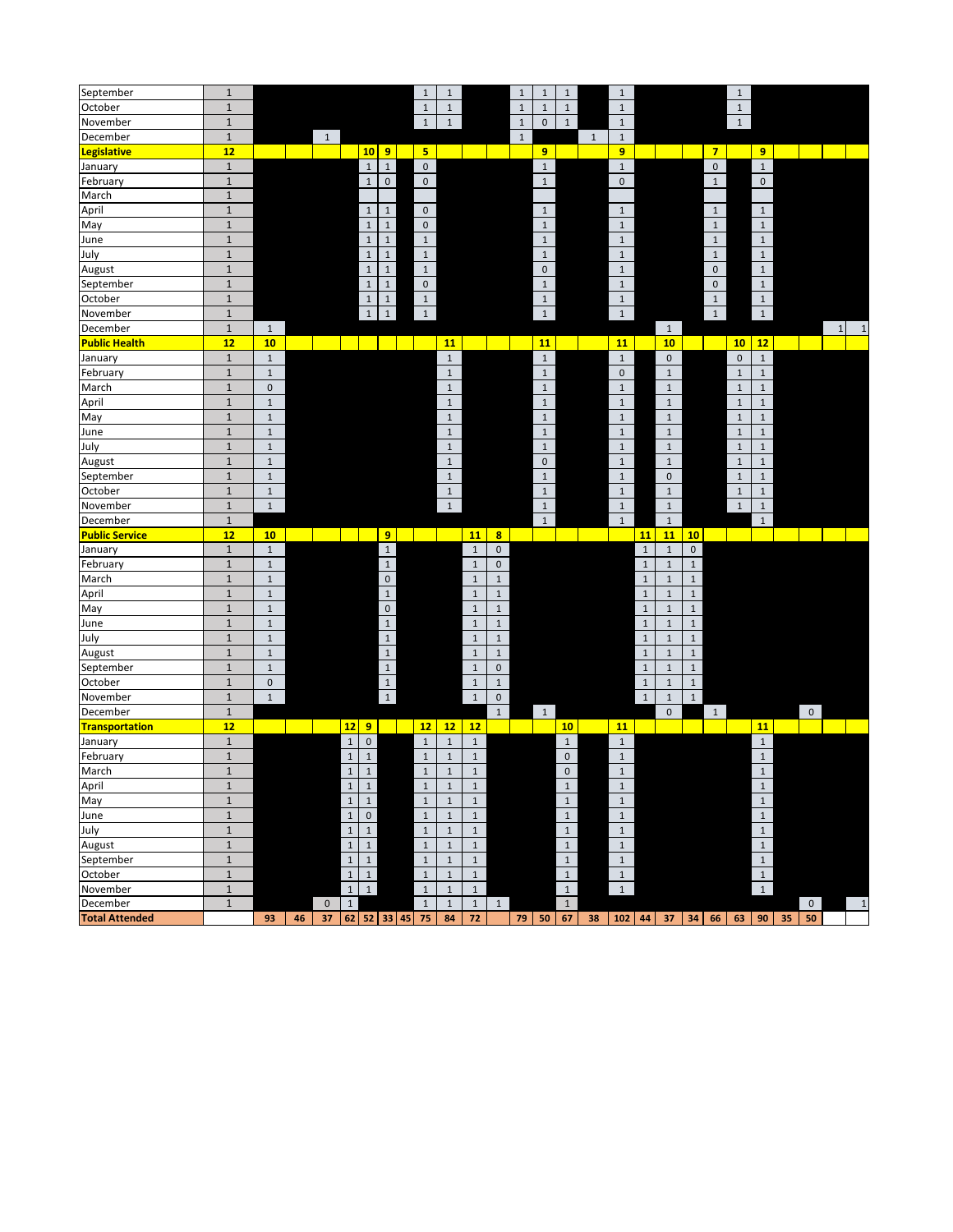| September                         | $\mathbf 1$  |             |    |                   |                |              |                     | $\mathbf 1$         | $\,1\,$            |                    |                     | $\mathbf{1}$ | $\mathbf{1}$        | $1\,$               |       | $\,1\,$      |              |                     |              |                | $\,1\,$      |                             |    |                      |             |              |
|-----------------------------------|--------------|-------------|----|-------------------|----------------|--------------|---------------------|---------------------|--------------------|--------------------|---------------------|--------------|---------------------|---------------------|-------|--------------|--------------|---------------------|--------------|----------------|--------------|-----------------------------|----|----------------------|-------------|--------------|
| October                           | $\mathbf 1$  |             |    |                   |                |              |                     | $1\,$               | $\mathbf 1$        |                    |                     | $1\,$        | $\mathbf{1}$        | $\mathbf{1}$        |       | $\mathbf 1$  |              |                     |              |                | $\,1\,$      |                             |    |                      |             |              |
| November                          | $\mathbf{1}$ |             |    |                   |                |              |                     | $\mathbf{1}$        | $\mathbf{1}$       |                    |                     | $\mathbf{1}$ | $\mathbf 0$         | $\mathbf{1}$        |       | $1\,$        |              |                     |              |                | $\mathbf{1}$ |                             |    |                      |             |              |
| December                          | $\mathbf 1$  |             |    | $\mathbf{1}$      |                |              |                     |                     |                    |                    |                     | $1\,$        |                     |                     | $1\,$ | $1\,$        |              |                     |              |                |              |                             |    |                      |             |              |
| Legislative                       | 12           |             |    |                   |                | 10           | $\overline{9}$      | 5 <sub>1</sub>      |                    |                    |                     |              | 9                   |                     |       | 9            |              |                     |              | 7 <sup>7</sup> |              | 9 <sup>°</sup>              |    |                      |             |              |
| January                           | $\,1\,$      |             |    |                   |                | $\,1\,$      | $\mathbf 1$         | $\mathbf 0$         |                    |                    |                     |              | $\mathbf 1$         |                     |       | $1\,$        |              |                     |              | $\mathbf 0$    |              | $\mathbf{1}$                |    |                      |             |              |
| February                          | $\mathbf 1$  |             |    |                   |                | $\,1\,$      | $\pmb{0}$           | $\mathsf{O}\xspace$ |                    |                    |                     |              | $\mathbf{1}$        |                     |       | $\pmb{0}$    |              |                     |              | $\mathbf{1}$   |              | $\mathbf{0}$                |    |                      |             |              |
| March                             | $\mathbf 1$  |             |    |                   |                |              |                     |                     |                    |                    |                     |              |                     |                     |       |              |              |                     |              |                |              |                             |    |                      |             |              |
| April                             | $\,1\,$      |             |    |                   |                | $\mathbf{1}$ | $1\,$               | 0                   |                    |                    |                     |              | $\mathbf{1}$        |                     |       | $\mathbf{1}$ |              |                     |              | $\mathbf{1}$   |              | $\mathbf{1}$                |    |                      |             |              |
| May                               | $\mathbf 1$  |             |    |                   |                | $\,1\,$      | $\,1\,$             | $\mathsf{O}\xspace$ |                    |                    |                     |              | $\mathbf 1$         |                     |       | $\,1\,$      |              |                     |              | $\mathbf{1}$   |              | $\mathbf{1}$                |    |                      |             |              |
| June                              | $\mathbf 1$  |             |    |                   |                | $\,1\,$      | $\mathbf 1$         | $\mathbf{1}$        |                    |                    |                     |              | $\mathbf 1$         |                     |       | $\,1\,$      |              |                     |              | $\mathbf{1}$   |              | $\mathbf 1$                 |    |                      |             |              |
| July                              | $\mathbf 1$  |             |    |                   |                | $\,1\,$      | $\,1\,$             | $\mathbf 1$         |                    |                    |                     |              | $1\,$               |                     |       | $1\,$        |              |                     |              | $\mathbf{1}$   |              | $\mathbf{1}$                |    |                      |             |              |
| August                            | $\mathbf 1$  |             |    |                   |                | $\,1\,$      | $\mathbf 1$         | $\mathbf{1}$        |                    |                    |                     |              | $\mathsf{O}\xspace$ |                     |       | $1\,$        |              |                     |              | $\mathbf 0$    |              | $\mathbf 1$                 |    |                      |             |              |
| September                         | $\mathbf 1$  |             |    |                   |                | $\,1\,$      | $\,1\,$             | $\mathbf 0$         |                    |                    |                     |              | $\mathbf 1$         |                     |       | $\mathbf 1$  |              |                     |              | $\mathbf 0$    |              | $\mathbf{1}$                |    |                      |             |              |
| October                           | $\mathbf 1$  |             |    |                   |                | $1\,$        | $\mathbf 1$         | $\mathbf 1$         |                    |                    |                     |              | $\mathbf{1}$        |                     |       | $1\,$        |              |                     |              | $\mathbf{1}$   |              | $\mathbf 1$                 |    |                      |             |              |
| November                          | $\mathbf 1$  |             |    |                   |                | $1\,$        | $\,1\,$             | $\mathbf 1$         |                    |                    |                     |              | $1\,$               |                     |       | $\,1\,$      |              |                     |              | $\mathbf{1}$   |              | $\mathbf{1}$                |    |                      |             |              |
| December                          | $\mathbf 1$  | $\mathbf 1$ |    |                   |                |              |                     |                     |                    |                    |                     |              |                     |                     |       |              |              | $\mathbf 1$         |              |                |              |                             |    |                      | $\mathbf 1$ | $\mathbf 1$  |
| <b>Public Health</b>              | 12           | 10          |    |                   |                |              |                     |                     | 11                 |                    |                     |              | 11                  |                     |       | 11           |              | 10                  |              |                | 10           | 12                          |    |                      |             |              |
| January                           | $\mathbf 1$  | $\,1\,$     |    |                   |                |              |                     |                     | $\,1\,$            |                    |                     |              | $\mathbf 1$         |                     |       | $\,1\,$      |              | 0                   |              |                | $\mathsf 0$  | $\mathbf 1$                 |    |                      |             |              |
|                                   | $\mathbf 1$  | $\mathbf 1$ |    |                   |                |              |                     |                     | $\mathbf{1}$       |                    |                     |              | $\mathbf 1$         |                     |       | $\mathbf{0}$ |              | $1\,$               |              |                | $1\,$        | $\mathbf 1$                 |    |                      |             |              |
| February                          | $\mathbf 1$  | $\pmb{0}$   |    |                   |                |              |                     |                     |                    |                    |                     |              |                     |                     |       |              |              |                     |              |                |              |                             |    |                      |             |              |
| March                             |              |             |    |                   |                |              |                     |                     | $\mathbf{1}$       |                    |                     |              | $\mathbf 1$         |                     |       | $\,1\,$      |              | $1\,$               |              |                | $1\,$        | $\mathbf{1}$                |    |                      |             |              |
| April                             | $\mathbf{1}$ | $\,1\,$     |    |                   |                |              |                     |                     | $\mathbf 1$        |                    |                     |              | $\mathbf 1$         |                     |       | $\mathbf{1}$ |              | $\mathbf{1}$        |              |                | $1\,$        | $\mathbf{1}$<br>$\mathbf 1$ |    |                      |             |              |
| May                               | $\mathbf 1$  | $\mathbf 1$ |    |                   |                |              |                     |                     | $\mathbf{1}$       |                    |                     |              | $1\,$               |                     |       | $1\,$        |              | $1\,$               |              |                | $\mathbf{1}$ |                             |    |                      |             |              |
| June                              | $\mathbf 1$  | $\,1\,$     |    |                   |                |              |                     |                     | $\mathbf{1}$       |                    |                     |              | $\mathbf 1$         |                     |       | $\,1\,$      |              | $1\,$               |              |                | $\,1\,$      | $\mathbf 1$                 |    |                      |             |              |
| July                              | $\,1\,$      | $\,1\,$     |    |                   |                |              |                     |                     | $\mathbf{1}$       |                    |                     |              | $\mathbf{1}$        |                     |       | $\mathbf{1}$ |              | $\mathbf{1}$        |              |                | $1\,$        | $\mathbf 1$                 |    |                      |             |              |
| August                            | $\mathbf 1$  | $\mathbf 1$ |    |                   |                |              |                     |                     | $\mathbf{1}$       |                    |                     |              | $\mathbf 0$         |                     |       | $1\,$        |              | $\,1\,$             |              |                | $\,1\,$      | $\mathbf{1}$                |    |                      |             |              |
| September                         | $\,1\,$      | $\mathbf 1$ |    |                   |                |              |                     |                     | $\mathbf{1}$       |                    |                     |              | $\mathbf{1}$        |                     |       | $1\,$        |              | $\mathsf{O}\xspace$ |              |                | $1\,$        | $\mathbf{1}$                |    |                      |             |              |
| October                           | $\mathbf{1}$ | $\mathbf 1$ |    |                   |                |              |                     |                     | $\mathbf{1}$       |                    |                     |              | $\mathbf{1}$        |                     |       | $\mathbf{1}$ |              | $\mathbf{1}$        |              |                | $\mathbf{1}$ | $\mathbf{1}$                |    |                      |             |              |
| November                          | $\,1\,$      | $\mathbf 1$ |    |                   |                |              |                     |                     | $1\,$              |                    |                     |              | $1\,$               |                     |       | $\mathbf{1}$ |              | $\,1\,$             |              |                | $\mathbf{1}$ | $1\,$                       |    |                      |             |              |
| December                          | $\mathbf 1$  |             |    |                   |                |              |                     |                     |                    |                    |                     |              | $1\,$               |                     |       | $1\,$        |              | $1\,$               |              |                |              | $1\,$                       |    |                      |             |              |
| <b>Public Service</b>             | 12           | 10          |    |                   |                |              | 9                   |                     |                    | 11                 | $\bf{8}$            |              |                     |                     |       |              | 11           | 11                  | 10           |                |              |                             |    |                      |             |              |
| January                           | $\mathbf 1$  | $\mathbf 1$ |    |                   |                |              | $\,1\,$             |                     |                    | $1\,$              | $\mathsf{O}\xspace$ |              |                     |                     |       |              | $\mathbf{1}$ | $1\,$               | $\pmb{0}$    |                |              |                             |    |                      |             |              |
| February                          | $\mathbf 1$  | $\,1\,$     |    |                   |                |              | $1\,$               |                     |                    | $1\,$              | $\mathbf 0$         |              |                     |                     |       |              | $\mathbf 1$  | $1\,$               | $\mathbf 1$  |                |              |                             |    |                      |             |              |
| March                             | $\mathbf{1}$ | $\,1\,$     |    |                   |                |              | $\mathsf{O}$        |                     |                    | $\mathbf{1}$       | $1\,$               |              |                     |                     |       |              | $\mathbf 1$  | $\mathbf{1}$        | $\mathbf{1}$ |                |              |                             |    |                      |             |              |
| April                             | $\mathbf 1$  | $\mathbf 1$ |    |                   |                |              | $\,1\,$             |                     |                    | $1\,$              | $\mathbf{1}$        |              |                     |                     |       |              | $\mathbf 1$  | $1\,$               | $\,1\,$      |                |              |                             |    |                      |             |              |
| May                               | $\mathbf 1$  | $\,1\,$     |    |                   |                |              | $\mathsf{O}\xspace$ |                     |                    | $\mathbf 1$        | $\mathbf{1}$        |              |                     |                     |       |              | $\mathbf 1$  | $\mathbf{1}$        | $\mathbf 1$  |                |              |                             |    |                      |             |              |
| June                              | $\mathbf 1$  | $\mathbf 1$ |    |                   |                |              | $\mathbf 1$         |                     |                    | $\mathbf{1}$       | $1\,$               |              |                     |                     |       |              | $\mathbf 1$  | $\mathbf{1}$        | $1\,$        |                |              |                             |    |                      |             |              |
| July                              | $\mathbf 1$  | $\mathbf 1$ |    |                   |                |              | $\,$ 1 $\,$         |                     |                    | $\,1\,$            | $\,1$               |              |                     |                     |       |              | $\mathbf{1}$ | $1\,$               | $\,1\,$      |                |              |                             |    |                      |             |              |
| August                            | $\mathbf 1$  | $\mathbf 1$ |    |                   |                |              | $\,1\,$             |                     |                    | $1\,$              | $\,1\,$             |              |                     |                     |       |              | $\mathbf 1$  | $1\,$               | $\,1\,$      |                |              |                             |    |                      |             |              |
| September                         | $\,1\,$      | $\,1\,$     |    |                   |                |              | $\mathbf 1$         |                     |                    | $\mathbf{1}$       | $\mathsf{O}\xspace$ |              |                     |                     |       |              | $\mathbf 1$  | $\mathbf{1}$        | $\mathbf{1}$ |                |              |                             |    |                      |             |              |
| October                           | $\,1\,$      | $\pmb{0}$   |    |                   |                |              | $\mathbf{1}$        |                     |                    | $1\,$              | $\mathbf 1$         |              |                     |                     |       |              | $\mathbf 1$  | $1\,$               | $\mathbf 1$  |                |              |                             |    |                      |             |              |
| November                          |              |             |    |                   |                |              |                     |                     |                    |                    |                     |              |                     |                     |       |              |              |                     |              |                |              |                             |    |                      |             |              |
|                                   | $\mathbf 1$  | $\mathbf 1$ |    |                   |                |              | $\overline{1}$      |                     |                    | $\mathbf{1}$       | $\mathbf 0$         |              |                     |                     |       |              | $\mathbf{1}$ | $\mathbf 1$         | $1\,$        |                |              |                             |    |                      |             |              |
| December                          | $\mathbf 1$  |             |    |                   |                |              |                     |                     |                    |                    | $1\,$               |              | $\mathbf{1}$        |                     |       |              |              | 0                   |              | $\mathbf{1}$   |              |                             |    | $\mathsf{O}\xspace$  |             |              |
| Transportation                    | 12           |             |    |                   | 12             | 9            |                     | 12                  | 12                 | 12                 |                     |              |                     | 10                  |       | 11           |              |                     |              |                |              | 11                          |    |                      |             |              |
|                                   | $\mathbf 1$  |             |    |                   | $1\,$          | $\pmb{0}$    |                     | $\mathbf{1}$        | $\,1\,$            | $\,1\,$            |                     |              |                     | $1\,$               |       | $\,1\,$      |              |                     |              |                |              | $\mathbf 1$                 |    |                      |             |              |
| January<br>February               | $\mathbf 1$  |             |    |                   | $\mathbf 1$    | $1\,$        |                     | $1\,$               | $\,1\,$            | $1\,$              |                     |              |                     | $\mathsf{O}\xspace$ |       | $1\,$        |              |                     |              |                |              |                             |    |                      |             |              |
|                                   | $\mathbf 1$  |             |    |                   | $\,1\,$        |              |                     | $\mathbf 1$         | $\mathbf 1$        | $\mathbf 1$        |                     |              |                     | $\mathsf{O}\xspace$ |       | $\,1\,$      |              |                     |              |                |              | $\mathbf 1$                 |    |                      |             |              |
| March                             |              |             |    |                   |                | $\,1\,$      |                     |                     |                    |                    |                     |              |                     |                     |       |              |              |                     |              |                |              | $\,1\,$                     |    |                      |             |              |
| April                             | $\mathbf 1$  |             |    |                   | $\mathbf{1}$   | $\mathbf{1}$ |                     | $\mathbf{1}$        | $\mathbf 1$        | $\mathbf{1}$       |                     |              |                     | $\mathbf{1}$        |       | $\,1\,$      |              |                     |              |                |              | $\mathbf{1}$                |    |                      |             |              |
| May                               | $\mathbf 1$  |             |    |                   | $\,1$          | $\mathbf{1}$ |                     | $1\,$               | $\mathbf{1}$       | $\mathbf{1}$       |                     |              |                     | $1\,$               |       | $\mathbf 1$  |              |                     |              |                |              | $\overline{1}$              |    |                      |             |              |
| June                              | $\,1\,$      |             |    |                   | $\,1\,$        | $\mathbf{0}$ |                     | $\mathbf 1$         | $\mathbf 1$        | $\mathbf{1}$       |                     |              |                     | $\mathbf{1}$        |       | $1\,$        |              |                     |              |                |              | $\mathbf 1$                 |    |                      |             |              |
| July                              | $\mathbf 1$  |             |    |                   | $\overline{1}$ | $\,$ 1       |                     | $\mathbf 1$         | $1\,$              | $\mathbf{1}$       |                     |              |                     | $\mathbf{1}$        |       | $1\,$        |              |                     |              |                |              | $1$                         |    |                      |             |              |
| August                            | $\mathbf 1$  |             |    |                   | $\,$ 1         | $\mathbf{1}$ |                     | $1\,$               | $\,$ 1 $\,$        | $1\,$              |                     |              |                     | $1\,$               |       | $\mathbf 1$  |              |                     |              |                |              | $\overline{1}$              |    |                      |             |              |
| September                         | $\mathbf{1}$ |             |    |                   | $\,$ 1 $\,$    | $\mathbf 1$  |                     | $1\,$               | $\mathbf{1}$       | $\mathbf{1}$       |                     |              |                     | $\mathbf{1}$        |       | $\mathbf{1}$ |              |                     |              |                |              | $\mathbf{1}$                |    |                      |             |              |
| October                           | $\mathbf 1$  |             |    |                   | $\overline{1}$ | $\mathbf{1}$ |                     | $\mathbf{1}$        | $\mathbf{1}$       | $\,$ 1 $\,$        |                     |              |                     | $1\,$               |       | $\,1\,$      |              |                     |              |                |              | $\overline{1}$              |    |                      |             |              |
| November                          | $\mathbf 1$  |             |    |                   | $\mathbf 1$    | $\mathbf{1}$ |                     | $\mathbf{1}$        | $\mathbf 1$        | $\mathbf 1$        |                     |              |                     | $1\,$               |       | $\mathbf 1$  |              |                     |              |                |              | $\mathbf{1}$                |    |                      |             |              |
| December<br><b>Total Attended</b> | $\,1\,$      | 93          | 46 | $\mathbf 0$<br>37 | $\mathbf 1$    |              | $62$ 52 33 45       | $\mathbf{1}$<br>75  | $\mathbf{1}$<br>84 | $\mathbf{1}$<br>72 | $\mathbf{1}$        | 79           | 50                  | $\mathbf{1}$<br>67  | 38    | $102$ 44     |              | 37 <sub>2</sub>     | 34           | 66             | 63           | 90                          | 35 | $\overline{0}$<br>50 |             | $\mathbf{1}$ |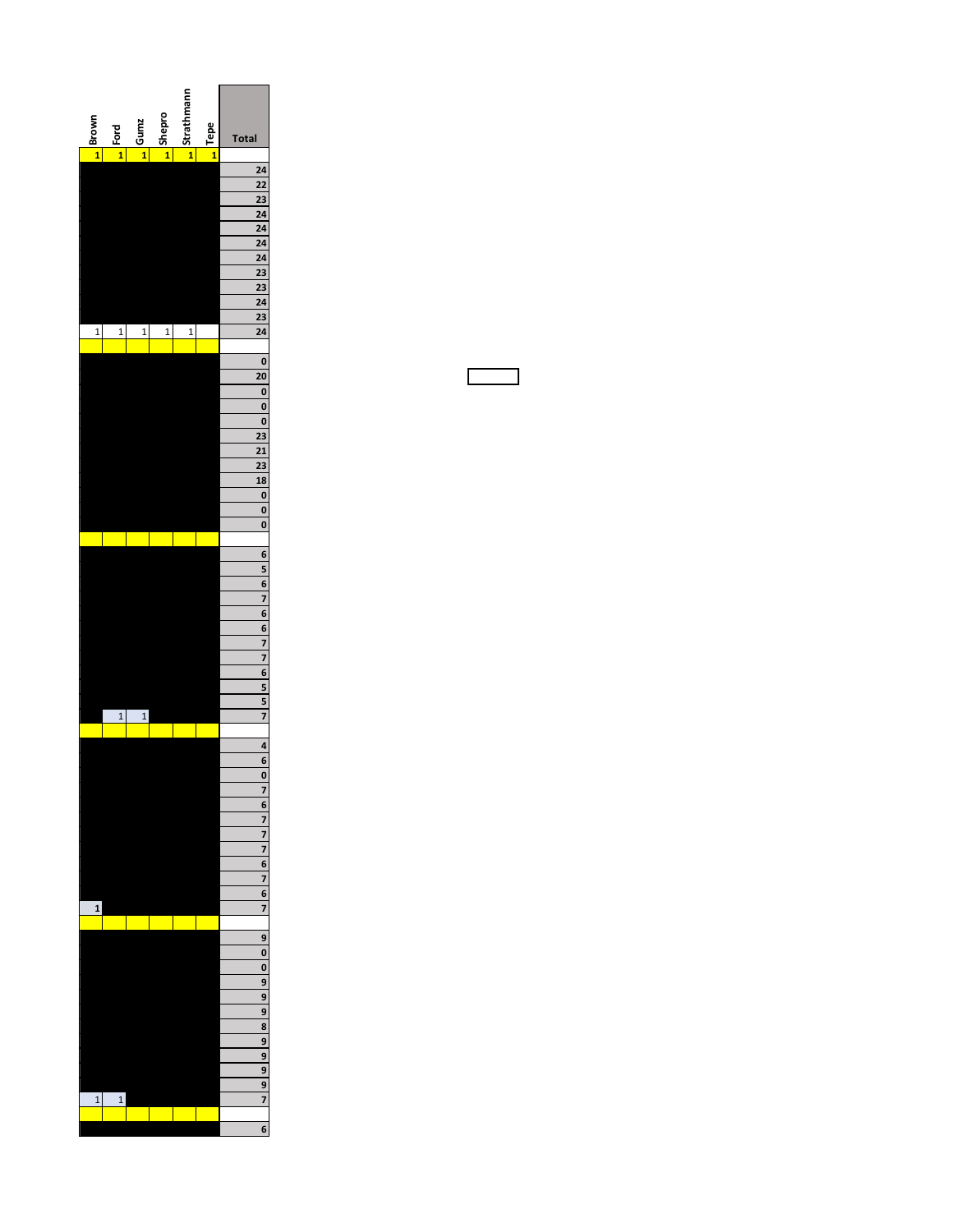

 $\Box$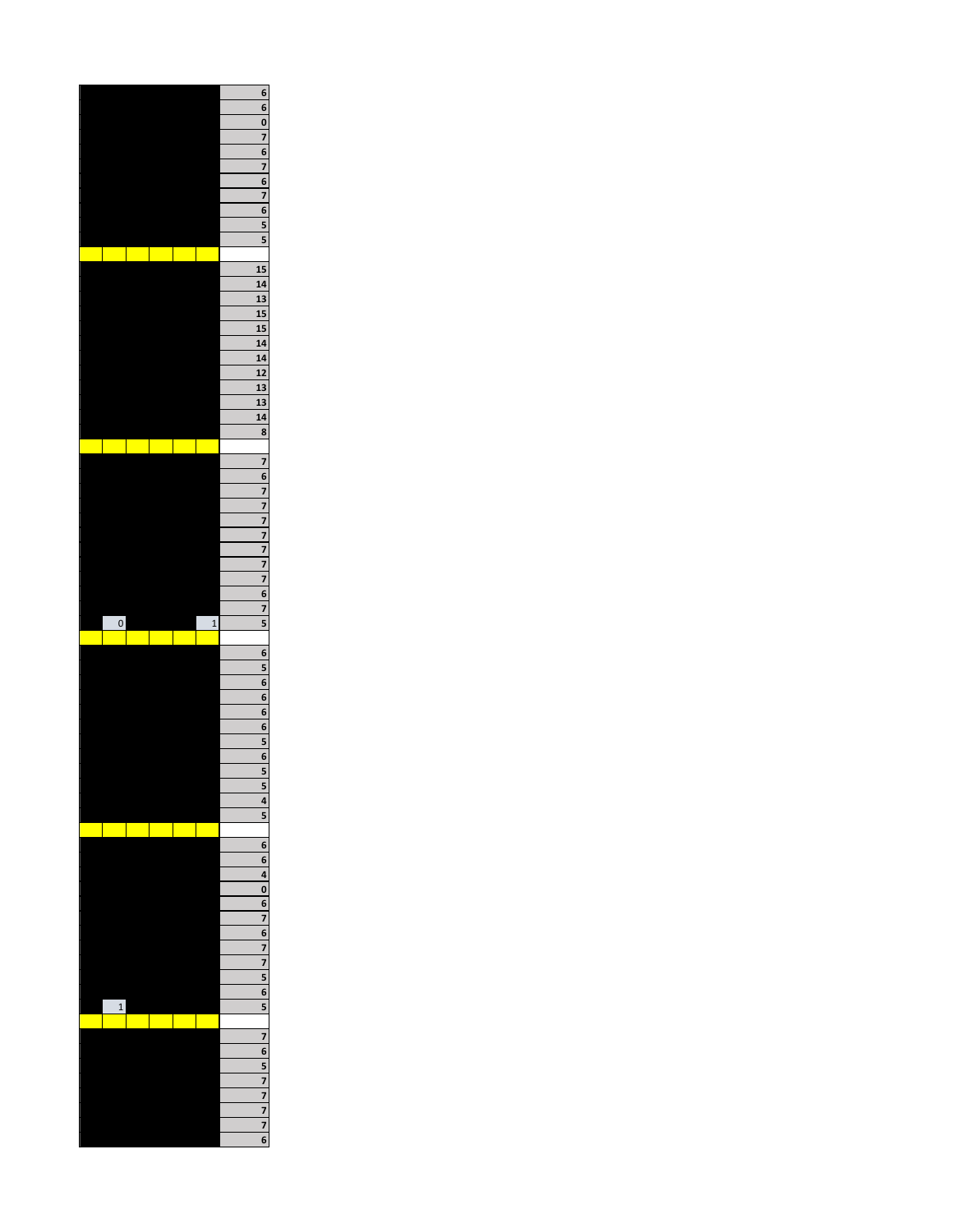